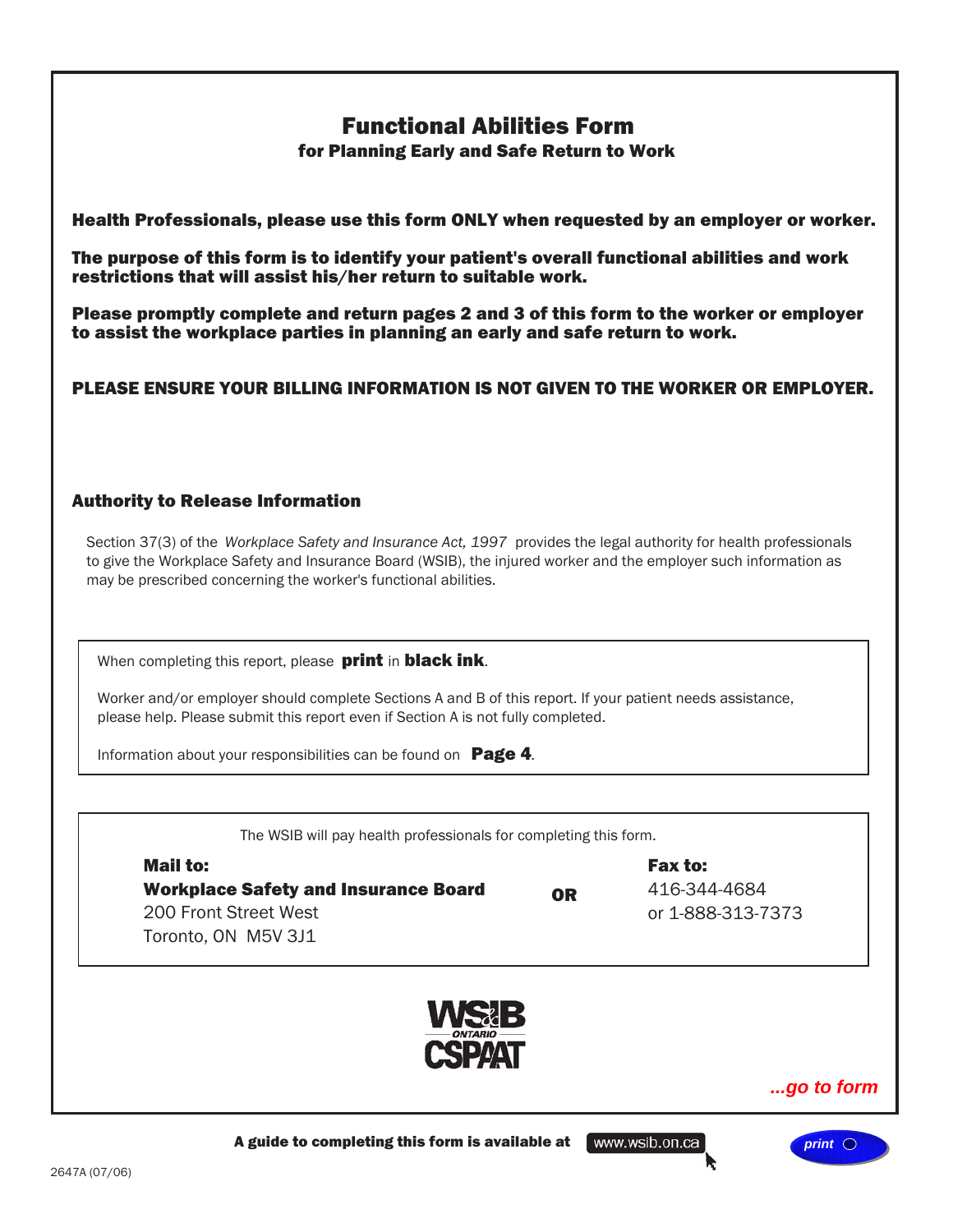# Functional Abilities Form

for Planning Early and Safe Return to Work

<span id="page-0-0"></span>Health Professionals, please use this form ONLY when requested by an employer or worker.

The purpose of this form is to identify your patient's overall functional abilities and work restrictions that will assist his/her return to suitable work.

Please promptly complete and return pages 2 and 3 of this form to the worker or employer to assist the workplace parties in planning an early and safe return to work.

PLEASE ENSURE YOUR BILLING INFORMATION IS NOT GIVEN TO THE WORKER OR EMPLOYER.

# Authority to Release Information

Section 37(3) of the *Workplace Safety and Insurance Act, 1997* provides the legal authority for health professionals to give the Workplace Safety and Insurance Board (WSIB), the injured worker and the employer such information as may be prescribed concerning the worker's functional abilities.

When completing this report, please **print** in **black ink**.

Worker and/or employer should complete Sections A and B of this report. If your patient needs assistance, please help. Please submit this report even if Section A is not fully completed.

Information about your responsibilities can be found on **Page 4**.

The WSIB will pay health professionals for completing this form.

| Mail to:                                    |           | <b>Fax to:</b>    |  |
|---------------------------------------------|-----------|-------------------|--|
| <b>Workplace Safety and Insurance Board</b> | <b>OR</b> | 416-344-4684      |  |
| 200 Front Street West                       |           | or 1-888-313-7373 |  |
| Toronto, ON M5V 3J1                         |           |                   |  |



www.wsib.on.ca

*home* **[...go to form](#page-1-0)**

*print*

A guide to completing this form is available at

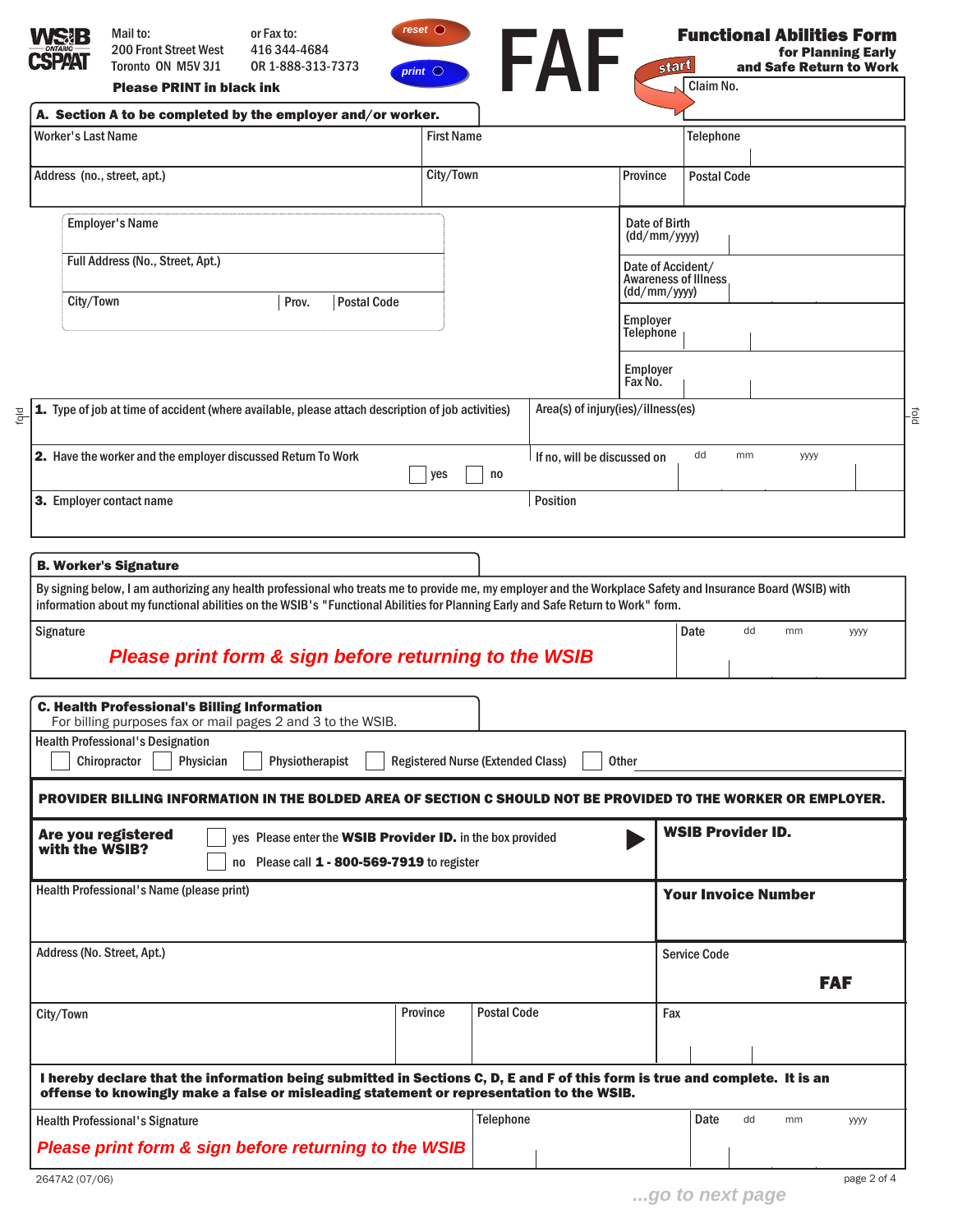<span id="page-1-0"></span>

| WSIB<br><b>SPAAT</b>                     | Toronto ON M5V 3J1                                                                                                                                                                                                                                                                                                                                                                       | OR 1-888-313-7373                                                                                         | print $\bigcirc$   |                                          | start                                            |                                              | and Safe Return to Work |            |
|------------------------------------------|------------------------------------------------------------------------------------------------------------------------------------------------------------------------------------------------------------------------------------------------------------------------------------------------------------------------------------------------------------------------------------------|-----------------------------------------------------------------------------------------------------------|--------------------|------------------------------------------|--------------------------------------------------|----------------------------------------------|-------------------------|------------|
|                                          | <b>Please PRINT in black ink</b>                                                                                                                                                                                                                                                                                                                                                         |                                                                                                           |                    | FAF                                      |                                                  | Claim No.                                    |                         |            |
|                                          | A. Section A to be completed by the employer and/or worker.                                                                                                                                                                                                                                                                                                                              |                                                                                                           |                    |                                          |                                                  |                                              |                         |            |
| <b>Worker's Last Name</b>                |                                                                                                                                                                                                                                                                                                                                                                                          |                                                                                                           | <b>First Name</b>  |                                          |                                                  | <b>Telephone</b>                             |                         |            |
|                                          | Address (no., street, apt.)                                                                                                                                                                                                                                                                                                                                                              |                                                                                                           | City/Town          |                                          | Province                                         | <b>Postal Code</b>                           |                         |            |
|                                          | <b>Employer's Name</b>                                                                                                                                                                                                                                                                                                                                                                   |                                                                                                           |                    |                                          | Date of Birth<br>(dd/mm/yyyy)                    |                                              |                         |            |
|                                          | Full Address (No., Street, Apt.)                                                                                                                                                                                                                                                                                                                                                         |                                                                                                           |                    |                                          | Date of Accident/<br><b>Awareness of Illness</b> |                                              |                         |            |
| City/Town                                |                                                                                                                                                                                                                                                                                                                                                                                          | Prov.                                                                                                     | <b>Postal Code</b> |                                          |                                                  | (dd/mm/yyyy)<br>Employer<br><b>Telephone</b> |                         |            |
|                                          |                                                                                                                                                                                                                                                                                                                                                                                          |                                                                                                           |                    |                                          |                                                  |                                              |                         |            |
|                                          |                                                                                                                                                                                                                                                                                                                                                                                          |                                                                                                           |                    |                                          | Employer<br>Fax No.                              |                                              |                         |            |
|                                          | Type of job at time of accident (where available, please attach description of job activities)                                                                                                                                                                                                                                                                                           |                                                                                                           |                    |                                          | Area(s) of injury(ies)/illness(es)               |                                              |                         |            |
|                                          | 2. Have the worker and the employer discussed Return To Work                                                                                                                                                                                                                                                                                                                             |                                                                                                           |                    | no                                       | If no, will be discussed on                      | dd<br>mm                                     | уууу                    |            |
|                                          |                                                                                                                                                                                                                                                                                                                                                                                          | yes<br>3. Employer contact name                                                                           |                    |                                          | <b>Position</b>                                  |                                              |                         |            |
|                                          | <b>B. Worker's Signature</b><br>By signing below, I am authorizing any health professional who treats me to provide me, my employer and the Workplace Safety and Insurance Board (WSIB) with<br>information about my functional abilities on the WSIB's "Functional Abilities for Planning Early and Safe Return to Work" form.<br>Please print form & sign before returning to the WSIB |                                                                                                           |                    |                                          |                                                  | dd<br>Date                                   | mm                      | уууу       |
|                                          | <b>C. Health Professional's Billing Information</b><br>For billing purposes fax or mail pages 2 and 3 to the WSIB.<br><b>Health Professional's Designation</b><br>Chiropractor<br>Physician                                                                                                                                                                                              | Physiotherapist                                                                                           |                    | <b>Registered Nurse (Extended Class)</b> | Other                                            |                                              |                         |            |
|                                          | PROVIDER BILLING INFORMATION IN THE BOLDED AREA OF SECTION C SHOULD NOT BE PROVIDED TO THE WORKER OR EMPLOYER.<br>Are you registered                                                                                                                                                                                                                                                     | yes Please enter the WSIB Provider ID. in the box provided<br>no Please call 1 - 800-569-7919 to register |                    |                                          |                                                  | <b>WSIB Provider ID.</b>                     |                         |            |
|                                          | Health Professional's Name (please print)                                                                                                                                                                                                                                                                                                                                                |                                                                                                           |                    |                                          |                                                  | <b>Your Invoice Number</b>                   |                         |            |
|                                          | Address (No. Street, Apt.)                                                                                                                                                                                                                                                                                                                                                               |                                                                                                           |                    |                                          |                                                  | <b>Service Code</b>                          |                         | <b>FAF</b> |
|                                          |                                                                                                                                                                                                                                                                                                                                                                                          |                                                                                                           | Province           | <b>Postal Code</b>                       | Fax                                              |                                              |                         |            |
|                                          | I hereby declare that the information being submitted in Sections C, D, E and F of this form is true and complete. It is an                                                                                                                                                                                                                                                              |                                                                                                           |                    |                                          |                                                  |                                              |                         |            |
| Signature<br>with the WSIB?<br>City/Town | offense to knowingly make a false or misleading statement or representation to the WSIB.<br><b>Health Professional's Signature</b>                                                                                                                                                                                                                                                       |                                                                                                           |                    | Telephone                                |                                                  | Date<br>dd                                   | mm                      | уууу       |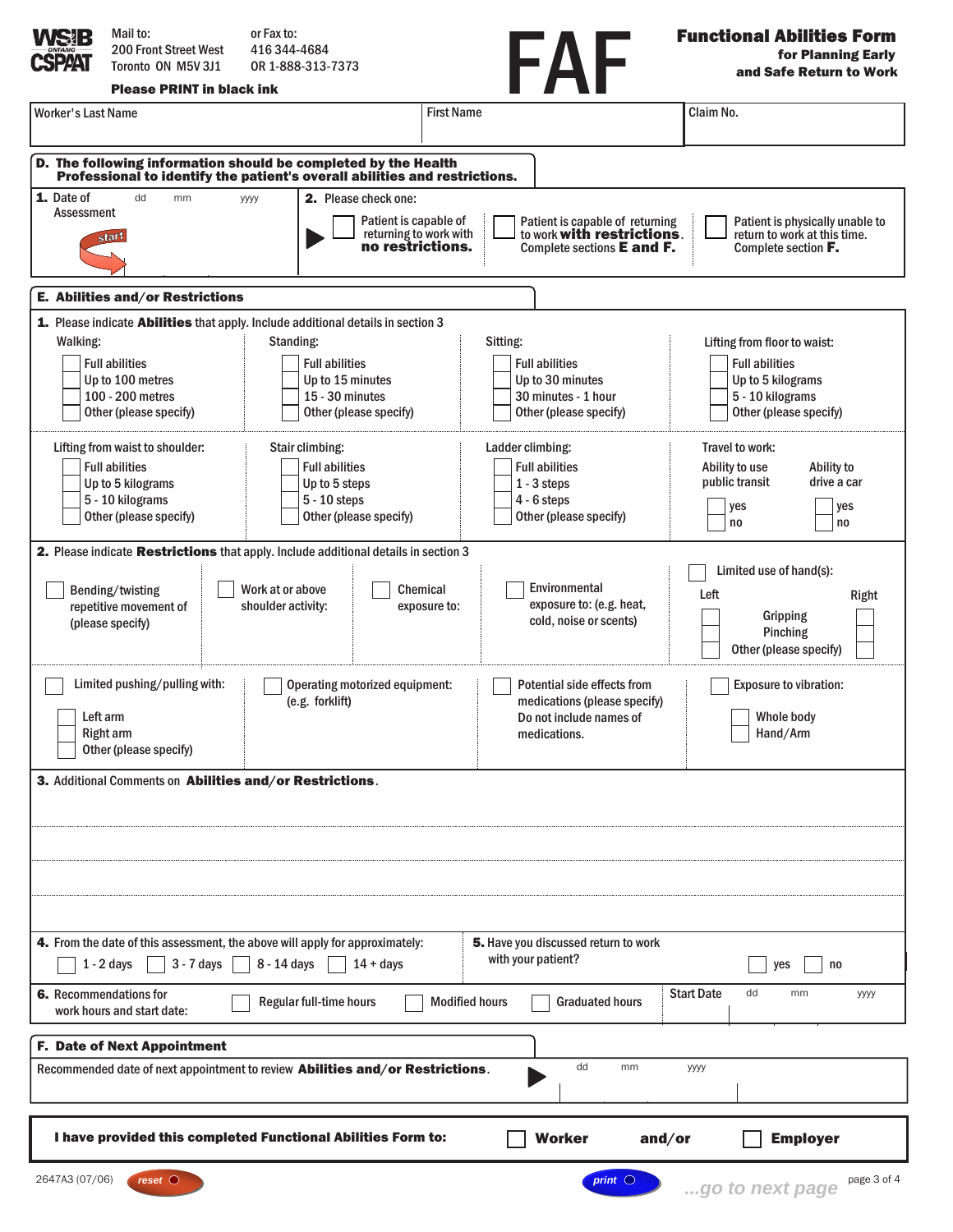<span id="page-2-0"></span>

| Mail to:<br><b>200 Front Street West</b><br><b>SPAAT</b><br>Toronto ON M5V 3J1<br><b>Please PRINT in black ink</b>                                                                 | or Fax to:<br>416 344 4684<br>OR 1-888-313-7373                                                                                                                                                                                     | FAF                                                                                                                                                 | <b>Functional Abilities Form</b><br>for Planning Early<br>and Safe Return to Work                                                                                           |  |  |  |  |  |
|------------------------------------------------------------------------------------------------------------------------------------------------------------------------------------|-------------------------------------------------------------------------------------------------------------------------------------------------------------------------------------------------------------------------------------|-----------------------------------------------------------------------------------------------------------------------------------------------------|-----------------------------------------------------------------------------------------------------------------------------------------------------------------------------|--|--|--|--|--|
| Worker's Last Name                                                                                                                                                                 | <b>First Name</b>                                                                                                                                                                                                                   |                                                                                                                                                     | Claim No.                                                                                                                                                                   |  |  |  |  |  |
|                                                                                                                                                                                    | D. The following information should be completed by the Health<br>Professional to identify the patient's overall abilities and restrictions.                                                                                        |                                                                                                                                                     |                                                                                                                                                                             |  |  |  |  |  |
| 1. Date of<br>dd<br>mm<br><b>Assessment</b><br>start                                                                                                                               | 2. Please check one:<br>уууу<br>Patient is capable of<br>returning to work with<br>no restrictions.                                                                                                                                 | Patient is capable of returning<br>to work <b>with restrictions</b> .<br>Complete sections E and F.                                                 | Patient is physically unable to<br>return to work at this time.<br>Complete section <b>F.</b>                                                                               |  |  |  |  |  |
| <b>E. Abilities and/or Restrictions</b>                                                                                                                                            |                                                                                                                                                                                                                                     |                                                                                                                                                     |                                                                                                                                                                             |  |  |  |  |  |
| Walking:<br><b>Full abilities</b><br>Up to 100 metres<br>100 - 200 metres<br>Other (please specify)<br>Lifting from waist to shoulder:<br><b>Full abilities</b>                    | 1. Please indicate Abilities that apply. Include additional details in section 3<br>Standing:<br><b>Full abilities</b><br>Up to 15 minutes<br>15 - 30 minutes<br>Other (please specify)<br>Stair climbing:<br><b>Full abilities</b> | Sitting:<br><b>Full abilities</b><br>Up to 30 minutes<br>30 minutes - 1 hour<br>Other (please specify)<br>Ladder climbing:<br><b>Full abilities</b> | Lifting from floor to waist:<br><b>Full abilities</b><br>Up to 5 kilograms<br>5 - 10 kilograms<br>Other (please specify)<br>Travel to work:<br>Ability to<br>Ability to use |  |  |  |  |  |
| Up to 5 kilograms<br>5 - 10 kilograms<br>Other (please specify)                                                                                                                    | Up to 5 steps<br>$5 - 10$ steps<br>Other (please specify)                                                                                                                                                                           | $1 - 3$ steps<br>$4 - 6$ steps<br>Other (please specify)                                                                                            | public transit<br>drive a car<br>yes<br>yes<br>no<br>no                                                                                                                     |  |  |  |  |  |
| Bending/twisting<br>repetitive movement of<br>(please specify)                                                                                                                     | 2. Please indicate Restrictions that apply. Include additional details in section 3<br>Work at or above<br>Chemical<br>shoulder activity:<br>exposure to:                                                                           | Environmental<br>exposure to: (e.g. heat,<br>cold, noise or scents)                                                                                 | Limited use of hand(s):<br>Left<br>Right<br>Gripping<br>Pinching<br>Other (please specify)                                                                                  |  |  |  |  |  |
| Limited pushing/pulling with:<br>Left arm<br><b>Right arm</b><br>Other (please specify)                                                                                            | Operating motorized equipment:<br>(e.g. forklift)                                                                                                                                                                                   | Potential side effects from<br>medications (please specify)<br>Do not include names of<br>medications.                                              | <b>Exposure to vibration:</b><br>Whole body<br>Hand/Arm                                                                                                                     |  |  |  |  |  |
| 3. Additional Comments on Abilities and/or Restrictions.                                                                                                                           |                                                                                                                                                                                                                                     |                                                                                                                                                     |                                                                                                                                                                             |  |  |  |  |  |
| 4. From the date of this assessment, the above will apply for approximately:<br>$3 - 7$ days<br>$1 - 2$ days                                                                       | 8 - 14 days<br>$14 + days$                                                                                                                                                                                                          | 5. Have you discussed return to work<br>with your patient?                                                                                          | yes<br>no                                                                                                                                                                   |  |  |  |  |  |
| <b>Start Date</b><br>6. Recommendations for<br>dd<br>mm<br><b>YYYY</b><br>Regular full-time hours<br><b>Modified hours</b><br><b>Graduated hours</b><br>work hours and start date: |                                                                                                                                                                                                                                     |                                                                                                                                                     |                                                                                                                                                                             |  |  |  |  |  |
| <b>F. Date of Next Appointment</b>                                                                                                                                                 |                                                                                                                                                                                                                                     |                                                                                                                                                     |                                                                                                                                                                             |  |  |  |  |  |
| dd<br>mm<br>Recommended date of next appointment to review <b>Abilities and/or Restrictions</b> .<br>уууу                                                                          |                                                                                                                                                                                                                                     |                                                                                                                                                     |                                                                                                                                                                             |  |  |  |  |  |
|                                                                                                                                                                                    | I have provided this completed Functional Abilities Form to:<br><b>Worker</b><br>and/or<br><b>Employer</b>                                                                                                                          |                                                                                                                                                     |                                                                                                                                                                             |  |  |  |  |  |
| 2647A3 (07/06)<br>reset                                                                                                                                                            |                                                                                                                                                                                                                                     | print $\bigcirc$                                                                                                                                    | page 3 of 4<br>go to next page                                                                                                                                              |  |  |  |  |  |